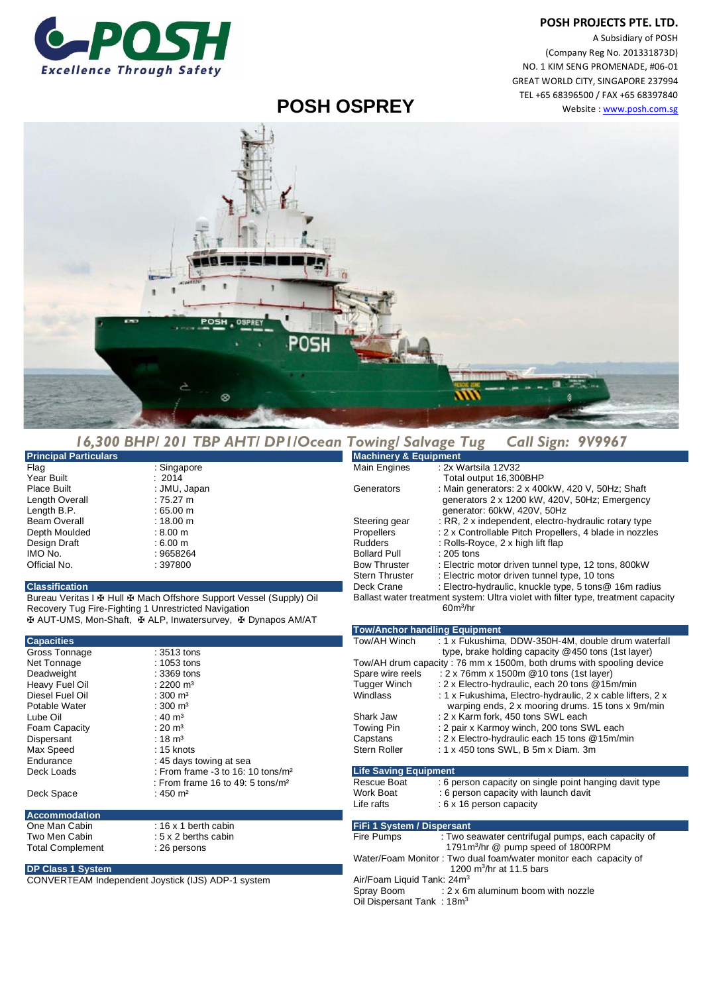## **POSH PROJECTS PTE. LTD.**



A Subsidiary of POSH (Company Reg No. 201331873D) NO. 1 KIM SENG PROMENADE, #06-01 GREAT WORLD CITY, SINGAPORE 237994 TEL +65 68396500 / FAX +65 68397840 Website : www.posh.com.sg

## **POSH OSPREY**



|                              | 16,300 BHP/ 201 TBP AHT/ DP1/Ocean Towing/ Salvage Tug Call Sign: 9V9967 |                                              |                                                                                                     |
|------------------------------|--------------------------------------------------------------------------|----------------------------------------------|-----------------------------------------------------------------------------------------------------|
| <b>Principal Particulars</b> |                                                                          | <b>Machinery &amp; Equipment</b>             |                                                                                                     |
| Flag                         | : Singapore                                                              | Main Engines                                 | : 2x Wartsila 12V32                                                                                 |
| Year Built                   | : 2014                                                                   |                                              | Total output 16,300BHP                                                                              |
| Place Built                  | : JMU, Japan                                                             | Generators                                   | : Main generators: 2 x 400kW, 420 V, 50Hz; Shaft                                                    |
| Length Overall               | $:75.27 \text{ m}$                                                       |                                              | generators 2 x 1200 kW, 420V, 50Hz; Emergency                                                       |
| Length B.P.                  | $:65.00 \text{ m}$                                                       |                                              | generator: 60kW, 420V, 50Hz                                                                         |
| <b>Beam Overall</b>          | $:18.00 \text{ m}$                                                       | Steering gear                                | : RR, 2 x independent, electro-hydraulic rotary type                                                |
| Depth Moulded                | $: 8.00 \text{ m}$                                                       | Propellers                                   | : 2 x Controllable Pitch Propellers, 4 blade in nozzles                                             |
| Design Draft                 | $:6.00 \; \text{m}$                                                      | <b>Rudders</b>                               | : Rolls-Royce, 2 x high lift flap                                                                   |
| IMO No.                      | : 9658264                                                                | <b>Bollard Pull</b>                          | : 205 tons                                                                                          |
| Official No.                 | : 397800                                                                 | <b>Bow Thruster</b><br><b>Stern Thruster</b> | : Electric motor driven tunnel type, 12 tons, 800kW<br>: Electric motor driven tunnel type, 10 tons |
| <b>Classification</b>        |                                                                          | Deck Crane                                   | : Electro-hydraulic, knuckle type, 5 tons@ 16m radius                                               |

Bureau Veritas I ✠ Hull ✠ Mach Offshore Support Vessel (Supply) Oil Recovery Tug Fire-Fighting 1 Unrestricted Navigation ✠ AUT-UMS, Mon-Shaft, ✠ ALP, Inwatersurvey, ✠ Dynapos AM/AT

| <b>Capacities</b>       |                                               |  |  |
|-------------------------|-----------------------------------------------|--|--|
| Gross Tonnage           | : 3513 tons                                   |  |  |
| Net Tonnage             | $: 1053$ tons                                 |  |  |
| Deadweight              | $: 3369$ tons                                 |  |  |
| Heavy Fuel Oil          | : 2200 $m3$                                   |  |  |
| Diesel Fuel Oil         | $: 300 \; \text{m}^3$                         |  |  |
| Potable Water           | : 300 $ m3$                                   |  |  |
| Lube Oil                | : 40 $m3$                                     |  |  |
| Foam Capacity           | : 20 $\, \text{m}^3$                          |  |  |
| Dispersant              | $: 18 \text{ m}^3$                            |  |  |
| Max Speed               | $: 15$ knots                                  |  |  |
| Endurance               | : 45 days towing at sea                       |  |  |
| Deck Loads              | : From frame -3 to 16: 10 tons/m <sup>2</sup> |  |  |
|                         | : From frame 16 to 49: 5 tons/m <sup>2</sup>  |  |  |
| Deck Space              | : 450 m <sup>2</sup>                          |  |  |
|                         |                                               |  |  |
| <b>Accommodation</b>    |                                               |  |  |
| One Man Cabin           | : $16 \times 1$ berth cabin                   |  |  |
| Two Men Cabin           | $: 5 \times 2$ berths cabin                   |  |  |
| <b>Total Complement</b> | : 26 persons                                  |  |  |
|                         |                                               |  |  |

## **DP Class 1 System**

CONVERTEAM Independent Joystick (IJS) ADP-1 system

## Fire Pumps : Two seawater centrifugal pumps, each capacity of 1791m<sup>3</sup>/hr @ pump speed of 1800RPM Water/Foam Monitor : Two dual foam/water monitor each capacity of 1200 m $3/$ hr at 11.5 bars Air/Foam Liquid Tank: 24m<sup>3</sup> Spray Boom : 2 x 6m aluminum boom with nozzle

Ballast water treatment system: Ultra violet with filter type, treatment capacity

Tow/AH Winch : 1 x Fukushima, DDW-350H-4M, double drum waterfall

Tow/AH drum capacity : 76 mm x 1500m, both drums with spooling device

Windlass : 1 x Fukushima, Electro-hydraulic, 2 x cable lifters, 2 x warping ends, 2 x mooring drums. 15 tons x 9m/min<br>
2 x Karm fork, 450 tons SWL each : 2 x Karm fork, 450 tons SWL each

: 1 x 450 tons SWL, B 5m x Diam. 3m

Rescue Boat : 6 person capacity on single point hanging davit type<br>Work Boat : 6 person capacity with launch davit : 6 person capacity with launch davit

Spare wire reels : 2 x 76mm x 1500m @10 tons (1st layer)<br>Tugger Winch : 2 x Electro-hydraulic, each 20 tons @15r

Towing Pin : 2 pair x Karmoy winch, 200 tons SWL each<br>Capstans : 2 x Electro-hydraulic each 15 tons @15m/m Capstans : 2 x Electro-hydraulic each 15 tons @15m/min<br>Stern Roller : 1 x 450 tons SWL, B 5m x Diam. 3m

type, brake holding capacity @450 tons (1st layer)

: 2 x Electro-hydraulic, each 20 tons @15m/min

Oil Dispersant Tank: 18m<sup>3</sup>

Life rafts : 6 x 16 person capacity

**Life Saving Equipment** 

**FiFi 1 System / Dispersant** 

60m<sup>3</sup> /hr

**Tow/Anchor handling Equipment**